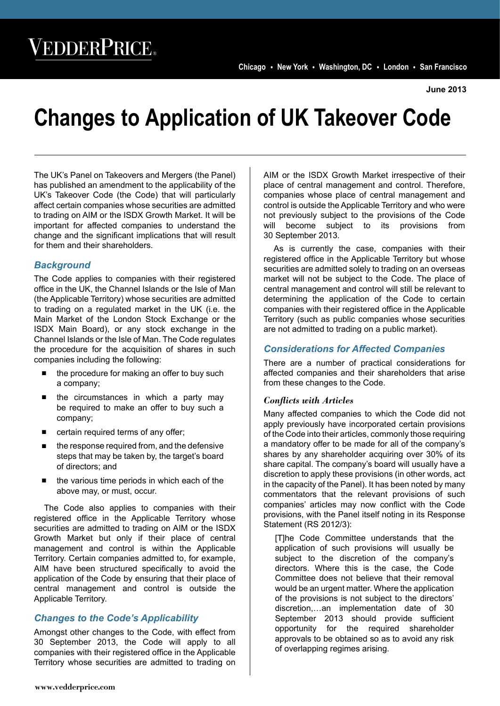**June 2013**

# **Changes to Application of UK Takeover Code**

The UK's Panel on Takeovers and Mergers (the Panel) has published an amendment to the applicability of the UK's Takeover Code (the Code) that will particularly affect certain companies whose securities are admitted to trading on AIM or the ISDX Growth Market. It will be important for affected companies to understand the change and the significant implications that will result for them and their shareholders.

## *Background*

The Code applies to companies with their registered office in the UK, the Channel Islands or the Isle of Man (the Applicable Territory) whose securities are admitted to trading on a regulated market in the UK (i.e. the Main Market of the London Stock Exchange or the ISDX Main Board), or any stock exchange in the Channel Islands or the Isle of Man. The Code regulates the procedure for the acquisition of shares in such companies including the following:

- the procedure for making an offer to buy such a company;
- the circumstances in which a party may be required to make an offer to buy such a company;
- certain required terms of any offer;
- the response required from, and the defensive steps that may be taken by, the target's board of directors; and
- the various time periods in which each of the above may, or must, occur.

The Code also applies to companies with their registered office in the Applicable Territory whose securities are admitted to trading on AIM or the ISDX Growth Market but only if their place of central management and control is within the Applicable Territory. Certain companies admitted to, for example, AIM have been structured specifically to avoid the application of the Code by ensuring that their place of central management and control is outside the Applicable Territory.

# *Changes to the Code's Applicability*

Amongst other changes to the Code, with effect from 30 September 2013, the Code will apply to all companies with their registered office in the Applicable Territory whose securities are admitted to trading on AIM or the ISDX Growth Market irrespective of their place of central management and control. Therefore, companies whose place of central management and control is outside the Applicable Territory and who were not previously subject to the provisions of the Code will become subject to its provisions from 30 September 2013.

As is currently the case, companies with their registered office in the Applicable Territory but whose securities are admitted solely to trading on an overseas market will not be subject to the Code. The place of central management and control will still be relevant to determining the application of the Code to certain companies with their registered office in the Applicable Territory (such as public companies whose securities are not admitted to trading on a public market).

# *Considerations for Affected Companies*

There are a number of practical considerations for affected companies and their shareholders that arise from these changes to the Code.

### *Conflicts with Articles*

Many affected companies to which the Code did not apply previously have incorporated certain provisions of the Code into their articles, commonly those requiring a mandatory offer to be made for all of the company's shares by any shareholder acquiring over 30% of its share capital. The company's board will usually have a discretion to apply these provisions (in other words, act in the capacity of the Panel). It has been noted by many commentators that the relevant provisions of such companies' articles may now conflict with the Code provisions, with the Panel itself noting in its Response Statement (RS 2012/3):

[T]he Code Committee understands that the application of such provisions will usually be subject to the discretion of the company's directors. Where this is the case, the Code Committee does not believe that their removal would be an urgent matter. Where the application of the provisions is not subject to the directors' discretion,…an implementation date of 30 September 2013 should provide sufficient opportunity for the required shareholder approvals to be obtained so as to avoid any risk of overlapping regimes arising.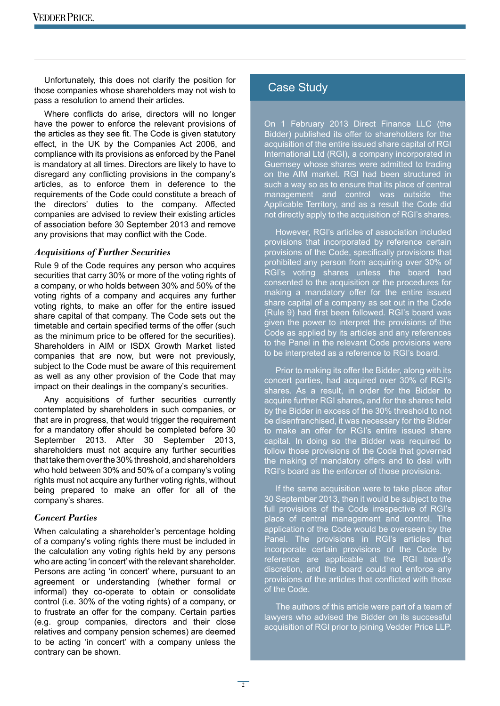Unfortunately, this does not clarify the position for those companies whose shareholders may not wish to pass a resolution to amend their articles.

Where conflicts do arise, directors will no longer have the power to enforce the relevant provisions of the articles as they see fit. The Code is given statutory effect, in the UK by the Companies Act 2006, and compliance with its provisions as enforced by the Panel is mandatory at all times. Directors are likely to have to disregard any conflicting provisions in the company's articles, as to enforce them in deference to the requirements of the Code could constitute a breach of the directors' duties to the company. Affected companies are advised to review their existing articles of association before 30 September 2013 and remove any provisions that may conflict with the Code.

#### *Acquisitions of Further Securities*

Rule 9 of the Code requires any person who acquires securities that carry 30% or more of the voting rights of a company, or who holds between 30% and 50% of the voting rights of a company and acquires any further voting rights, to make an offer for the entire issued share capital of that company. The Code sets out the timetable and certain specified terms of the offer (such as the minimum price to be offered for the securities). Shareholders in AIM or ISDX Growth Market listed companies that are now, but were not previously, subject to the Code must be aware of this requirement as well as any other provision of the Code that may impact on their dealings in the company's securities.

Any acquisitions of further securities currently contemplated by shareholders in such companies, or that are in progress, that would trigger the requirement for a mandatory offer should be completed before 30 September 2013. After 30 September 2013, shareholders must not acquire any further securities that take them over the 30% threshold, and shareholders who hold between 30% and 50% of a company's voting rights must not acquire any further voting rights, without being prepared to make an offer for all of the company's shares.

#### *Concert Parties*

When calculating a shareholder's percentage holding of a company's voting rights there must be included in the calculation any voting rights held by any persons who are acting 'in concert' with the relevant shareholder. Persons are acting 'in concert' where, pursuant to an agreement or understanding (whether formal or informal) they co-operate to obtain or consolidate control (i.e. 30% of the voting rights) of a company, or to frustrate an offer for the company. Certain parties (e.g. group companies, directors and their close relatives and company pension schemes) are deemed to be acting 'in concert' with a company unless the contrary can be shown.

# Case Study

On 1 February 2013 Direct Finance LLC (the Bidder) published its offer to shareholders for the acquisition of the entire issued share capital of RGI International Ltd (RGI), a company incorporated in Guernsey whose shares were admitted to trading on the AIM market. RGI had been structured in such a way so as to ensure that its place of central management and control was outside the Applicable Territory, and as a result the Code did not directly apply to the acquisition of RGI's shares.

However, RGI's articles of association included provisions that incorporated by reference certain provisions of the Code, specifically provisions that prohibited any person from acquiring over 30% of RGI's voting shares unless the board had consented to the acquisition or the procedures for making a mandatory offer for the entire issued share capital of a company as set out in the Code (Rule 9) had first been followed. RGI's board was given the power to interpret the provisions of the Code as applied by its articles and any references to the Panel in the relevant Code provisions were to be interpreted as a reference to RGI's board.

Prior to making its offer the Bidder, along with its concert parties, had acquired over 30% of RGI's shares. As a result, in order for the Bidder to acquire further RGI shares, and for the shares held by the Bidder in excess of the 30% threshold to not be disenfranchised, it was necessary for the Bidder to make an offer for RGI's entire issued share capital. In doing so the Bidder was required to follow those provisions of the Code that governed the making of mandatory offers and to deal with RGI's board as the enforcer of those provisions.

If the same acquisition were to take place after 30 September 2013, then it would be subject to the full provisions of the Code irrespective of RGI's place of central management and control. The application of the Code would be overseen by the Panel. The provisions in RGI's articles that incorporate certain provisions of the Code by reference are applicable at the RGI board's discretion, and the board could not enforce any provisions of the articles that conflicted with those of the Code.

The authors of this article were part of a team of lawyers who advised the Bidder on its successful acquisition of RGI prior to joining Vedder Price LLP.